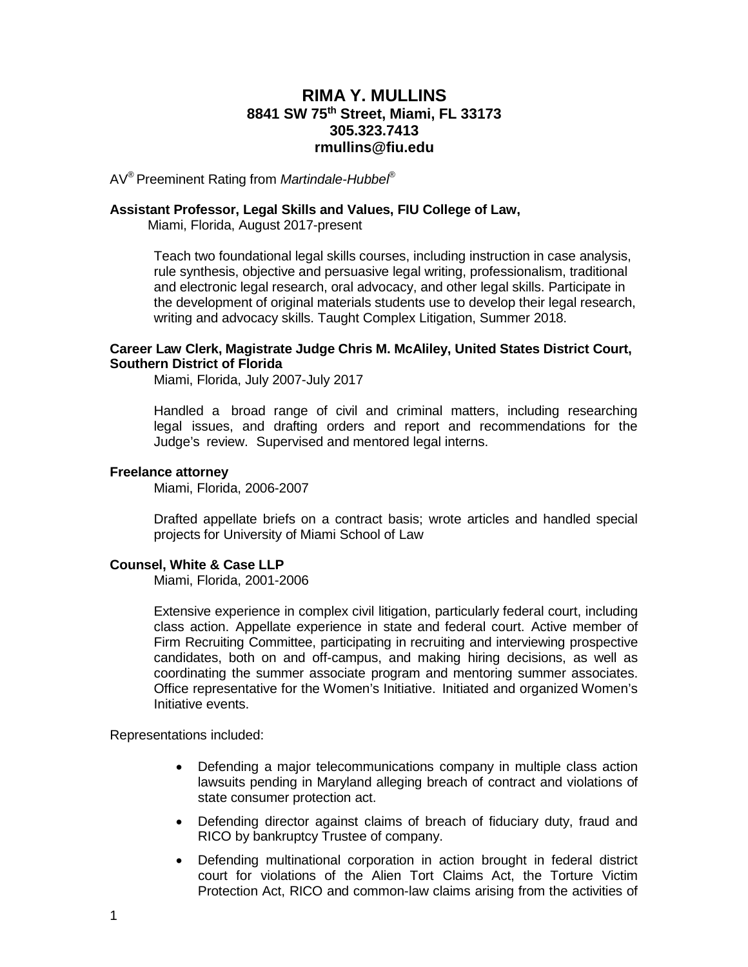# **RIMA Y. MULLINS 8841 SW 75th Street, Miami, FL 33173 305.323.7413 rmullins@fiu.edu**

AV® Preeminent Rating from *Martindale-Hubbel*®

## **Assistant Professor, Legal Skills and Values, FIU College of Law,**

Miami, Florida, August 2017-present

Teach two foundational legal skills courses, including instruction in case analysis, rule synthesis, objective and persuasive legal writing, professionalism, traditional and electronic legal research, oral advocacy, and other legal skills. Participate in the development of original materials students use to develop their legal research, writing and advocacy skills. Taught Complex Litigation, Summer 2018.

### **Career Law Clerk, Magistrate Judge Chris M. McAliley, United States District Court, Southern District of Florida**

Miami, Florida, July 2007-July 2017

Handled a broad range of civil and criminal matters, including researching legal issues, and drafting orders and report and recommendations for the Judge's review. Supervised and mentored legal interns.

#### **Freelance attorney**

Miami, Florida, 2006-2007

Drafted appellate briefs on a contract basis; wrote articles and handled special projects for University of Miami School of Law

#### **Counsel, White & Case LLP**

Miami, Florida, 2001-2006

Extensive experience in complex civil litigation, particularly federal court, including class action. Appellate experience in state and federal court. Active member of Firm Recruiting Committee, participating in recruiting and interviewing prospective candidates, both on and off-campus, and making hiring decisions, as well as coordinating the summer associate program and mentoring summer associates. Office representative for the Women's Initiative. Initiated and organized Women's Initiative events.

Representations included:

- Defending a major telecommunications company in multiple class action lawsuits pending in Maryland alleging breach of contract and violations of state consumer protection act.
- Defending director against claims of breach of fiduciary duty, fraud and RICO by bankruptcy Trustee of company.
- Defending multinational corporation in action brought in federal district court for violations of the Alien Tort Claims Act, the Torture Victim Protection Act, RICO and common-law claims arising from the activities of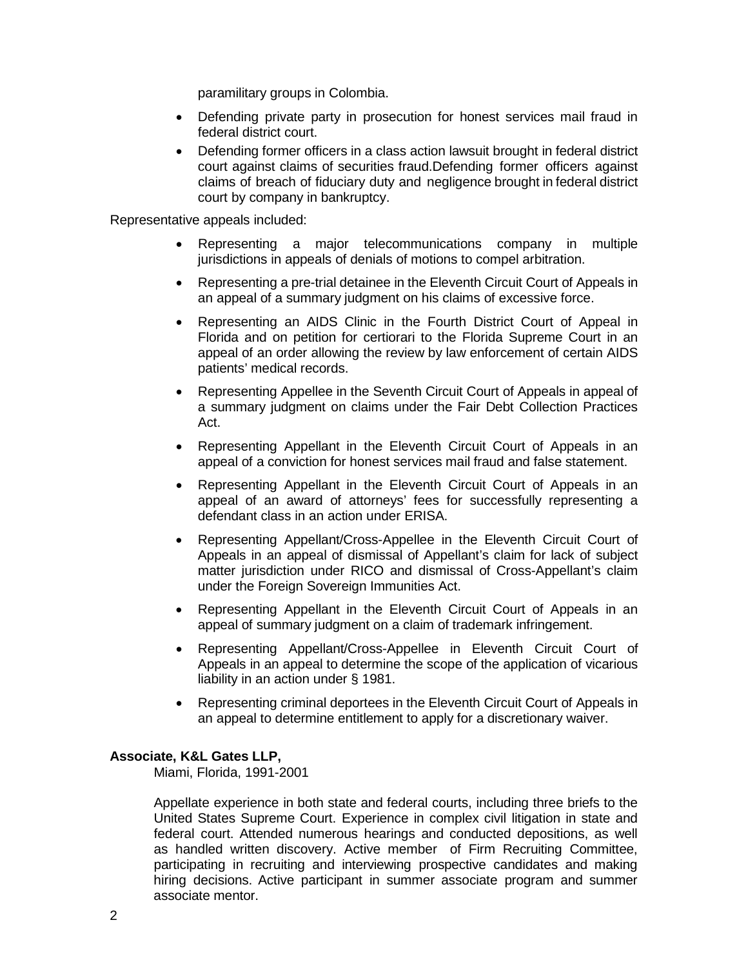paramilitary groups in Colombia.

- Defending private party in prosecution for honest services mail fraud in federal district court.
- Defending former officers in a class action lawsuit brought in federal district court against claims of securities fraud.Defending former officers against claims of breach of fiduciary duty and negligence brought in federal district court by company in bankruptcy.

Representative appeals included:

- Representing a major telecommunications company in multiple jurisdictions in appeals of denials of motions to compel arbitration.
- Representing a pre-trial detainee in the Eleventh Circuit Court of Appeals in an appeal of a summary judgment on his claims of excessive force.
- Representing an AIDS Clinic in the Fourth District Court of Appeal in Florida and on petition for certiorari to the Florida Supreme Court in an appeal of an order allowing the review by law enforcement of certain AIDS patients' medical records.
- Representing Appellee in the Seventh Circuit Court of Appeals in appeal of a summary judgment on claims under the Fair Debt Collection Practices Act.
- Representing Appellant in the Eleventh Circuit Court of Appeals in an appeal of a conviction for honest services mail fraud and false statement.
- Representing Appellant in the Eleventh Circuit Court of Appeals in an appeal of an award of attorneys' fees for successfully representing a defendant class in an action under ERISA.
- Representing Appellant/Cross-Appellee in the Eleventh Circuit Court of Appeals in an appeal of dismissal of Appellant's claim for lack of subject matter jurisdiction under RICO and dismissal of Cross-Appellant's claim under the Foreign Sovereign Immunities Act.
- Representing Appellant in the Eleventh Circuit Court of Appeals in an appeal of summary judgment on a claim of trademark infringement.
- Representing Appellant/Cross-Appellee in Eleventh Circuit Court of Appeals in an appeal to determine the scope of the application of vicarious liability in an action under § 1981.
- Representing criminal deportees in the Eleventh Circuit Court of Appeals in an appeal to determine entitlement to apply for a discretionary waiver.

### **Associate, K&L Gates LLP,**

Miami, Florida, 1991-2001

Appellate experience in both state and federal courts, including three briefs to the United States Supreme Court. Experience in complex civil litigation in state and federal court. Attended numerous hearings and conducted depositions, as well as handled written discovery. Active member of Firm Recruiting Committee, participating in recruiting and interviewing prospective candidates and making hiring decisions. Active participant in summer associate program and summer associate mentor.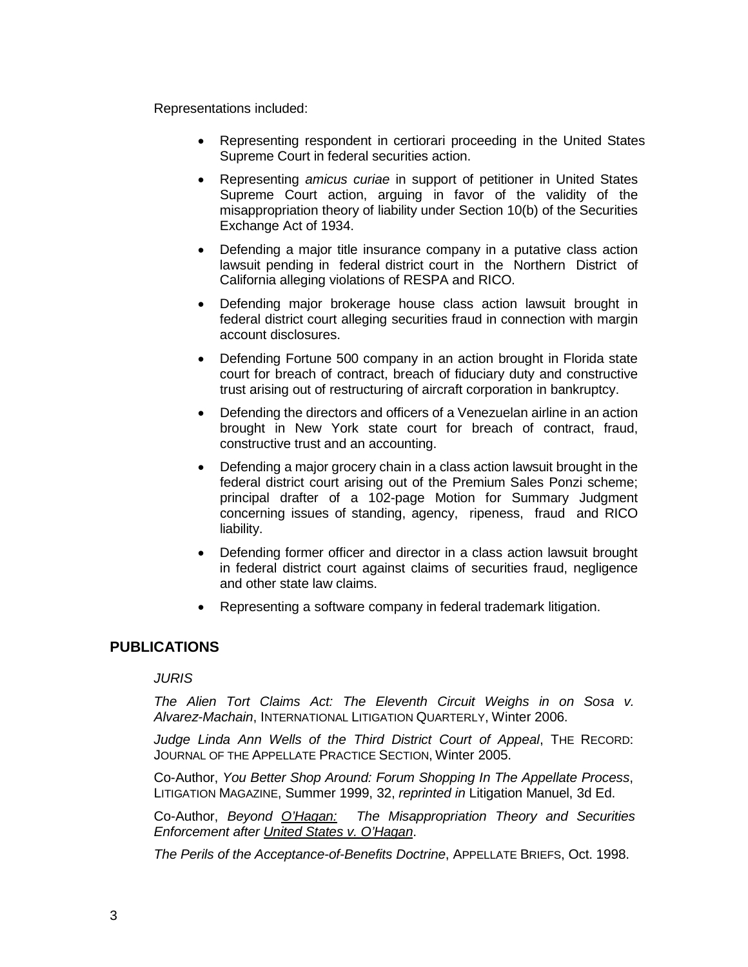Representations included:

- Representing respondent in certiorari proceeding in the United States Supreme Court in federal securities action.
- Representing *amicus curiae* in support of petitioner in United States Supreme Court action, arguing in favor of the validity of the misappropriation theory of liability under Section 10(b) of the Securities Exchange Act of 1934.
- Defending a major title insurance company in a putative class action lawsuit pending in federal district court in the Northern District of California alleging violations of RESPA and RICO.
- Defending major brokerage house class action lawsuit brought in federal district court alleging securities fraud in connection with margin account disclosures.
- Defending Fortune 500 company in an action brought in Florida state court for breach of contract, breach of fiduciary duty and constructive trust arising out of restructuring of aircraft corporation in bankruptcy.
- Defending the directors and officers of a Venezuelan airline in an action brought in New York state court for breach of contract, fraud, constructive trust and an accounting.
- Defending a major grocery chain in a class action lawsuit brought in the federal district court arising out of the Premium Sales Ponzi scheme; principal drafter of a 102-page Motion for Summary Judgment concerning issues of standing, agency, ripeness, fraud and RICO liability.
- Defending former officer and director in a class action lawsuit brought in federal district court against claims of securities fraud, negligence and other state law claims.
- Representing a software company in federal trademark litigation.

## **PUBLICATIONS**

*JURIS*

*The Alien Tort Claims Act: The Eleventh Circuit Weighs in on Sosa v. Alvarez-Machain*, INTERNATIONAL LITIGATION QUARTERLY, Winter 2006.

*Judge Linda Ann Wells of the Third District Court of Appeal*, THE RECORD: JOURNAL OF THE APPELLATE PRACTICE SECTION, Winter 2005.

Co-Author, *You Better Shop Around: Forum Shopping In The Appellate Process*, LITIGATION MAGAZINE, Summer 1999, 32, *reprinted in* Litigation Manuel, 3d Ed.

Co-Author, *Beyond O'Hagan: The Misappropriation Theory and Securities Enforcement after United States v. O'Hagan*.

*The Perils of the Acceptance-of-Benefits Doctrine*, APPELLATE BRIEFS, Oct. 1998.